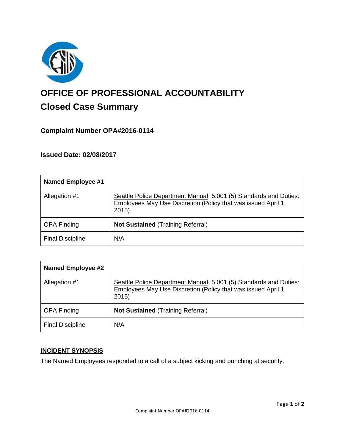

# **OFFICE OF PROFESSIONAL ACCOUNTABILITY Closed Case Summary**

# **Complaint Number OPA#2016-0114**

## **Issued Date: 02/08/2017**

| <b>Named Employee #1</b> |                                                                                                                                           |
|--------------------------|-------------------------------------------------------------------------------------------------------------------------------------------|
| Allegation #1            | Seattle Police Department Manual 5.001 (5) Standards and Duties:<br>Employees May Use Discretion (Policy that was issued April 1,<br>2015 |
| <b>OPA Finding</b>       | <b>Not Sustained (Training Referral)</b>                                                                                                  |
| <b>Final Discipline</b>  | N/A                                                                                                                                       |

| <b>Named Employee #2</b> |                                                                                                                                           |
|--------------------------|-------------------------------------------------------------------------------------------------------------------------------------------|
| Allegation #1            | Seattle Police Department Manual 5.001 (5) Standards and Duties:<br>Employees May Use Discretion (Policy that was issued April 1,<br>2015 |
| <b>OPA Finding</b>       | <b>Not Sustained (Training Referral)</b>                                                                                                  |
| <b>Final Discipline</b>  | N/A                                                                                                                                       |

## **INCIDENT SYNOPSIS**

The Named Employees responded to a call of a subject kicking and punching at security.